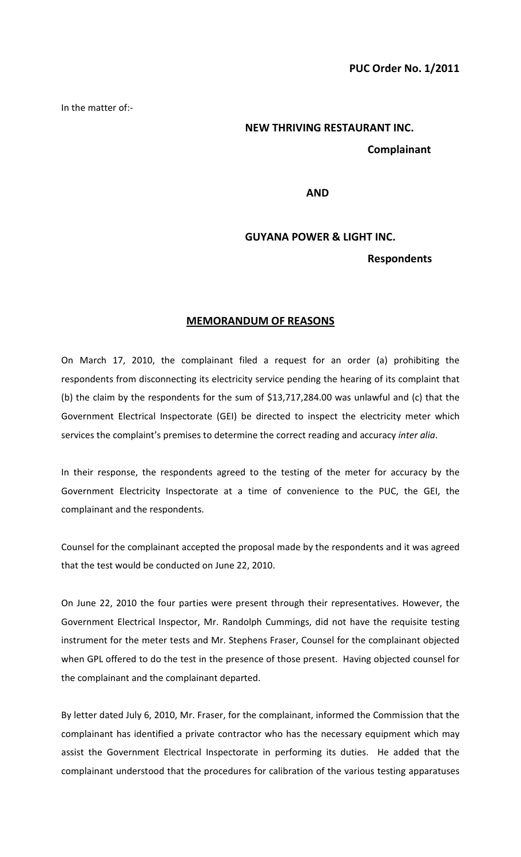In the matter of:-

# **NEW THRIVING RESTAURANT INC.**

# **Complainant**

**AND** 

## **GUYANA POWER & LIGHT INC.**

### **Respondents**

### **MEMORANDUM OF REASONS**

On March 17, 2010, the complainant filed a request for an order (a) prohibiting the respondents from disconnecting its electricity service pending the hearing of its complaint that (b) the claim by the respondents for the sum of \$13,717,284.00 was unlawful and (c) that the Government Electrical Inspectorate (GEI) be directed to inspect the electricity meter which services the complaint's premises to determine the correct reading and accuracy *inter alia*.

In their response, the respondents agreed to the testing of the meter for accuracy by the Government Electricity Inspectorate at a time of convenience to the PUC, the GEI, the complainant and the respondents.

Counsel for the complainant accepted the proposal made by the respondents and it was agreed that the test would be conducted on June 22, 2010.

On June 22, 2010 the four parties were present through their representatives. However, the Government Electrical Inspector, Mr. Randolph Cummings, did not have the requisite testing instrument for the meter tests and Mr. Stephens Fraser, Counsel for the complainant objected when GPL offered to do the test in the presence of those present. Having objected counsel for the complainant and the complainant departed.

By letter dated July 6, 2010, Mr. Fraser, for the complainant, informed the Commission that the complainant has identified a private contractor who has the necessary equipment which may assist the Government Electrical Inspectorate in performing its duties. He added that the complainant understood that the procedures for calibration of the various testing apparatuses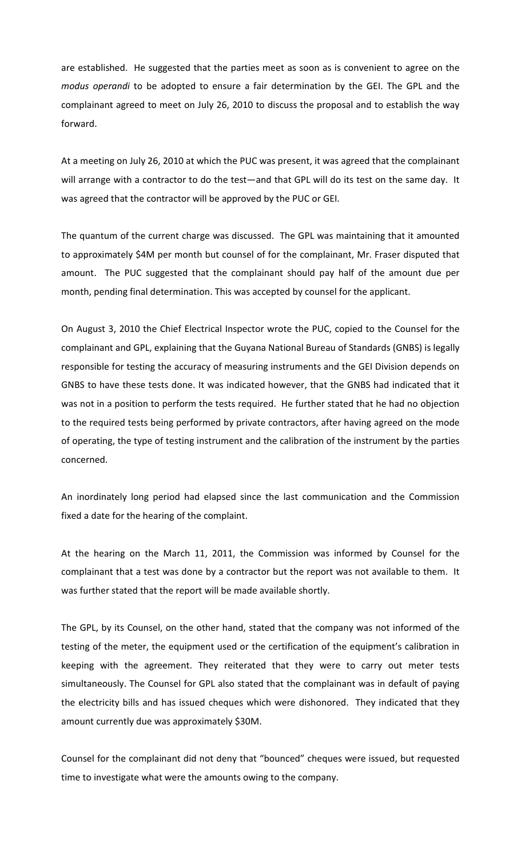are established. He suggested that the parties meet as soon as is convenient to agree on the *modus operandi* to be adopted to ensure a fair determination by the GEI. The GPL and the complainant agreed to meet on July 26, 2010 to discuss the proposal and to establish the way forward.

At a meeting on July 26, 2010 at which the PUC was present, it was agreed that the complainant will arrange with a contractor to do the test—and that GPL will do its test on the same day. It was agreed that the contractor will be approved by the PUC or GEI.

The quantum of the current charge was discussed. The GPL was maintaining that it amounted to approximately \$4M per month but counsel of for the complainant, Mr. Fraser disputed that amount. The PUC suggested that the complainant should pay half of the amount due per month, pending final determination. This was accepted by counsel for the applicant.

On August 3, 2010 the Chief Electrical Inspector wrote the PUC, copied to the Counsel for the complainant and GPL, explaining that the Guyana National Bureau of Standards (GNBS) is legally responsible for testing the accuracy of measuring instruments and the GEI Division depends on GNBS to have these tests done. It was indicated however, that the GNBS had indicated that it was not in a position to perform the tests required. He further stated that he had no objection to the required tests being performed by private contractors, after having agreed on the mode of operating, the type of testing instrument and the calibration of the instrument by the parties concerned.

An inordinately long period had elapsed since the last communication and the Commission fixed a date for the hearing of the complaint.

At the hearing on the March 11, 2011, the Commission was informed by Counsel for the complainant that a test was done by a contractor but the report was not available to them. It was further stated that the report will be made available shortly.

The GPL, by its Counsel, on the other hand, stated that the company was not informed of the testing of the meter, the equipment used or the certification of the equipment's calibration in keeping with the agreement. They reiterated that they were to carry out meter tests simultaneously. The Counsel for GPL also stated that the complainant was in default of paying the electricity bills and has issued cheques which were dishonored. They indicated that they amount currently due was approximately \$30M.

Counsel for the complainant did not deny that "bounced" cheques were issued, but requested time to investigate what were the amounts owing to the company.